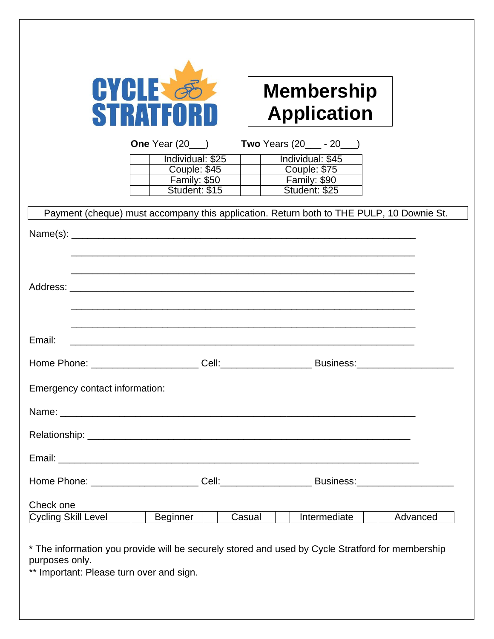| <b>CYCLE</b>     |
|------------------|
|                  |
| <b>STRATFORD</b> |

## **Membership Application**

| One Year (20     | Two Years (20<br>- 20 |
|------------------|-----------------------|
| Individual: \$25 | Individual: \$45      |
| Couple: $$45$    | Couple: \$75          |
| Family: \$50     | Family: \$90          |
| Student: \$15    | Student: \$25         |

| Email:                         |                      |              |          |
|--------------------------------|----------------------|--------------|----------|
|                                |                      |              |          |
| Emergency contact information: |                      |              |          |
|                                |                      |              |          |
|                                |                      |              |          |
|                                |                      |              |          |
|                                |                      |              |          |
| Check one                      |                      |              |          |
| Cycling Skill Level            | Beginner  <br>Casual | Intermediate | Advanced |

purposes only. \*\* Important: Please turn over and sign.